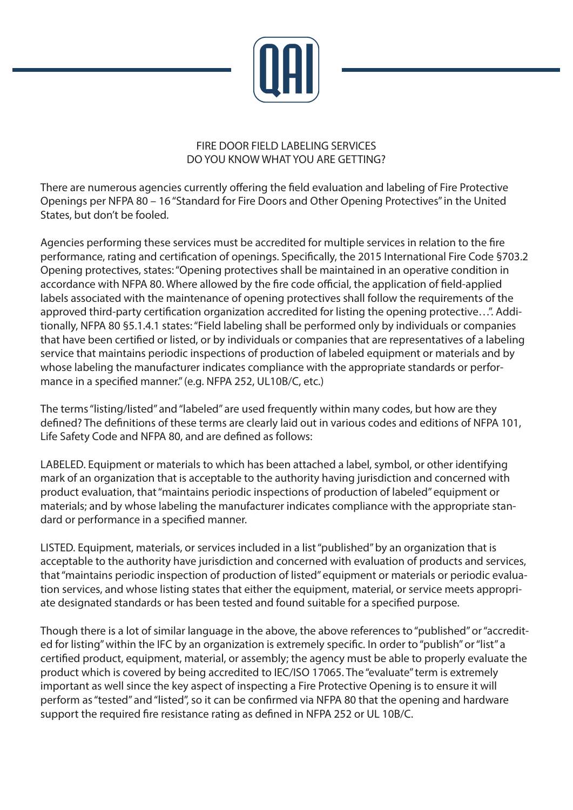

## FIRE DOOR FIELD LABELING SERVICES DO YOU KNOW WHAT YOU ARE GETTING?

There are numerous agencies currently offering the field evaluation and labeling of Fire Protective Openings per NFPA 80 – 16 "Standard for Fire Doors and Other Opening Protectives" in the United States, but don't be fooled.

Agencies performing these services must be accredited for multiple services in relation to the fire performance, rating and certification of openings. Specifically, the 2015 International Fire Code §703.2 Opening protectives, states: "Opening protectives shall be maintained in an operative condition in accordance with NFPA 80. Where allowed by the fire code official, the application of field-applied labels associated with the maintenance of opening protectives shall follow the requirements of the approved third-party certification organization accredited for listing the opening protective...". Additionally, NFPA 80 §5.1.4.1 states: "Field labeling shall be performed only by individuals or companies that have been certified or listed, or by individuals or companies that are representatives of a labeling service that maintains periodic inspections of production of labeled equipment or materials and by whose labeling the manufacturer indicates compliance with the appropriate standards or performance in a specified manner." (e.g. NFPA 252, UL10B/C, etc.)

The terms "listing/listed" and "labeled" are used frequently within many codes, but how are they defined? The definitions of these terms are clearly laid out in various codes and editions of NFPA 101, Life Safety Code and NFPA 80, and are defined as follows:

LABELED. Equipment or materials to which has been attached a label, symbol, or other identifying mark of an organization that is acceptable to the authority having jurisdiction and concerned with product evaluation, that "maintains periodic inspections of production of labeled" equipment or materials; and by whose labeling the manufacturer indicates compliance with the appropriate standard or performance in a specified manner.

LISTED. Equipment, materials, or services included in a list "published" by an organization that is acceptable to the authority have jurisdiction and concerned with evaluation of products and services, that "maintains periodic inspection of production of listed" equipment or materials or periodic evaluation services, and whose listing states that either the equipment, material, or service meets appropriate designated standards or has been tested and found suitable for a specified purpose.

Though there is a lot of similar language in the above, the above references to "published" or "accredited for listing" within the IFC by an organization is extremely specific. In order to "publish" or "list" a certified product, equipment, material, or assembly; the agency must be able to properly evaluate the product which is covered by being accredited to IEC/ISO 17065. The "evaluate" term is extremely important as well since the key aspect of inspecting a Fire Protective Opening is to ensure it will perform as "tested" and "listed", so it can be confirmed via NFPA 80 that the opening and hardware support the required fire resistance rating as defined in NFPA 252 or UL 10B/C.